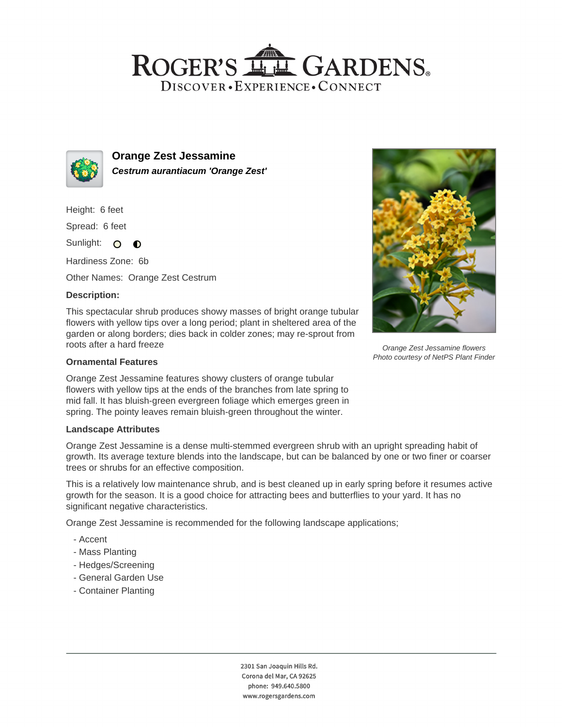# ROGER'S LL GARDENS. DISCOVER · EXPERIENCE · CONNECT



**Orange Zest Jessamine Cestrum aurantiacum 'Orange Zest'**

Height: 6 feet

Spread: 6 feet

Sunlight: O  $\bullet$ 

Hardiness Zone: 6b

Other Names: Orange Zest Cestrum

## **Description:**

This spectacular shrub produces showy masses of bright orange tubular flowers with yellow tips over a long period; plant in sheltered area of the garden or along borders; dies back in colder zones; may re-sprout from roots after a hard freeze

### **Ornamental Features**

Orange Zest Jessamine features showy clusters of orange tubular flowers with yellow tips at the ends of the branches from late spring to mid fall. It has bluish-green evergreen foliage which emerges green in spring. The pointy leaves remain bluish-green throughout the winter.

#### **Landscape Attributes**

Orange Zest Jessamine is a dense multi-stemmed evergreen shrub with an upright spreading habit of growth. Its average texture blends into the landscape, but can be balanced by one or two finer or coarser trees or shrubs for an effective composition.

This is a relatively low maintenance shrub, and is best cleaned up in early spring before it resumes active growth for the season. It is a good choice for attracting bees and butterflies to your yard. It has no significant negative characteristics.

Orange Zest Jessamine is recommended for the following landscape applications;

- Accent
- Mass Planting
- Hedges/Screening
- General Garden Use
- Container Planting



Orange Zest Jessamine flowers Photo courtesy of NetPS Plant Finder